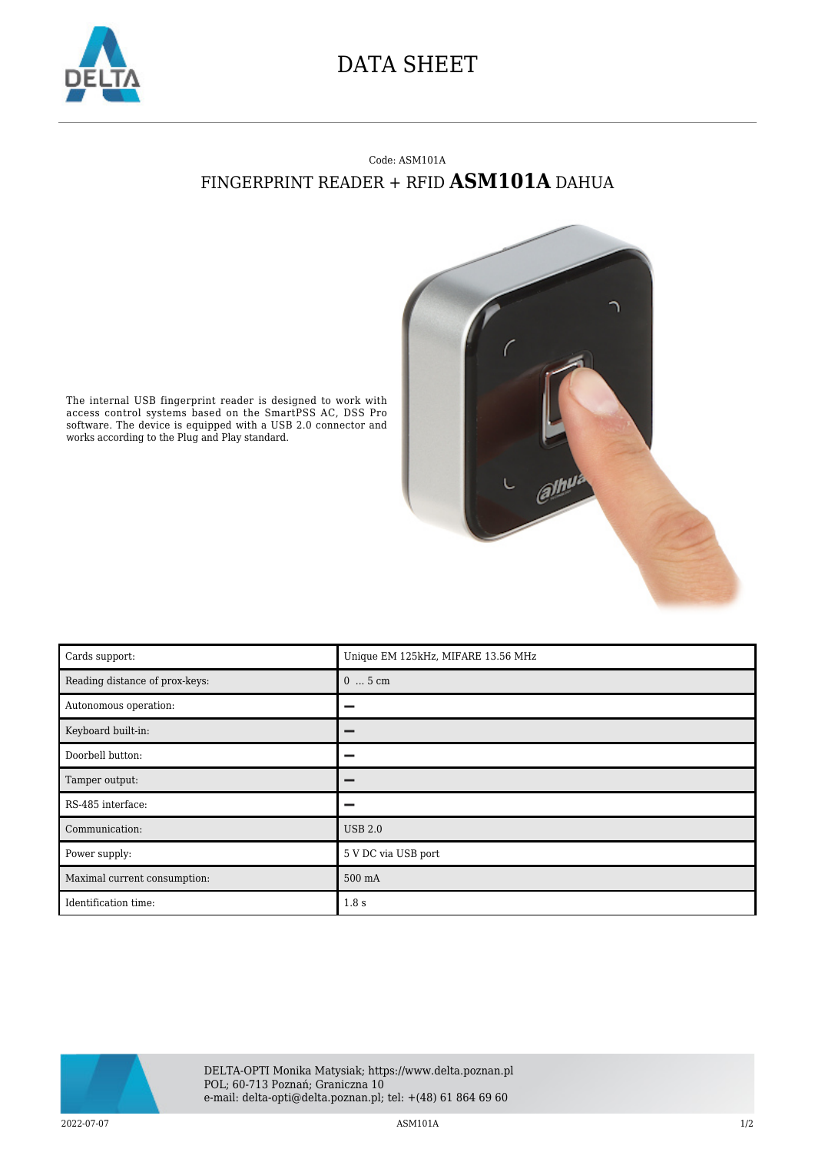

## DATA SHEET

## Code: ASM101A FINGERPRINT READER + RFID **ASM101A** DAHUA



The internal USB fingerprint reader is designed to work with access control systems based on the SmartPSS AC, DSS Pro software. The device is equipped with a USB 2.0 connector and works according to the Plug and Play standard.

| Cards support:                 | Unique EM 125kHz, MIFARE 13.56 MHz |
|--------------------------------|------------------------------------|
| Reading distance of prox-keys: | $05$ cm                            |
| Autonomous operation:          |                                    |
| Keyboard built-in:             |                                    |
| Doorbell button:               |                                    |
| Tamper output:                 |                                    |
| RS-485 interface:              | -                                  |
| Communication:                 | <b>USB 2.0</b>                     |
| Power supply:                  | 5 V DC via USB port                |
| Maximal current consumption:   | 500 mA                             |
| Identification time:           | 1.8 <sub>s</sub>                   |